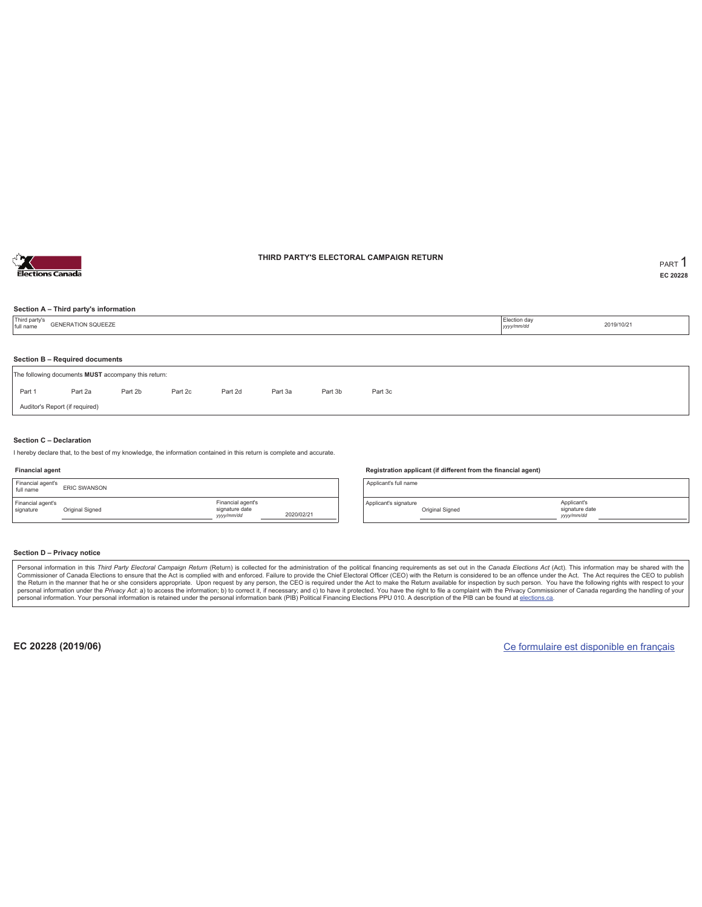

#### **THIRD PARTY'S ELECTORAL CAMPAIGN RETURN PART** 1

**EC 20228**

#### **Section A – Third party's information**

| Third party's<br>full name | <b>GENERATION SQUEEZE</b>                           |         |         |         |         |         |         | Election day<br>yyyy/mm/dd | 2019/10/21 |
|----------------------------|-----------------------------------------------------|---------|---------|---------|---------|---------|---------|----------------------------|------------|
|                            |                                                     |         |         |         |         |         |         |                            |            |
|                            | Section B - Required documents                      |         |         |         |         |         |         |                            |            |
|                            | The following documents MUST accompany this return: |         |         |         |         |         |         |                            |            |
| Part 1                     | Part 2a                                             | Part 2b | Part 2c | Part 2d | Part 3a | Part 3b | Part 3c |                            |            |
|                            | Auditor's Report (if required)                      |         |         |         |         |         |         |                            |            |
|                            |                                                     |         |         |         |         |         |         |                            |            |

#### **Section C – Declaration**

I hereby declare that, to the best of my knowledge, the information contained in this return is complete and accurate.

#### **Financial agent**

| Financial agent's<br>full name | <b>FRIC SWANSON</b> |                                                  |            |
|--------------------------------|---------------------|--------------------------------------------------|------------|
| Financial agent's<br>signature | Original Signed     | Financial agent's<br>signature date<br>yyy/mm/dd | 2020/02/21 |

#### **Registration applicant (if different from the financial agent)**

Applicant's full name

Applicant's signature Original Signed

#### **Section D – Privacy notice**

Personal information in this Third Party Electoral Campaign Return (Return) is collected for the administration of the political financing requirements as set out in the Canada Elections Act (Act). This information may be Commissioner of Canada Elections to ensure that the Act is complied with and enforced. Failure to provide the Chief Electoral Officer (CEO) with the Return is considered to be an offence under the Act. The Act requires the personal information. Your personal information is retained under the personal information bank (PIB) Political Financing Elections PPU 010. A description of the PIB can be found at elections.ca.

**EC 20228 (2019/06)** Ce formulaire est disponible en français

Applicant's signature date *yyyy/mm/dd*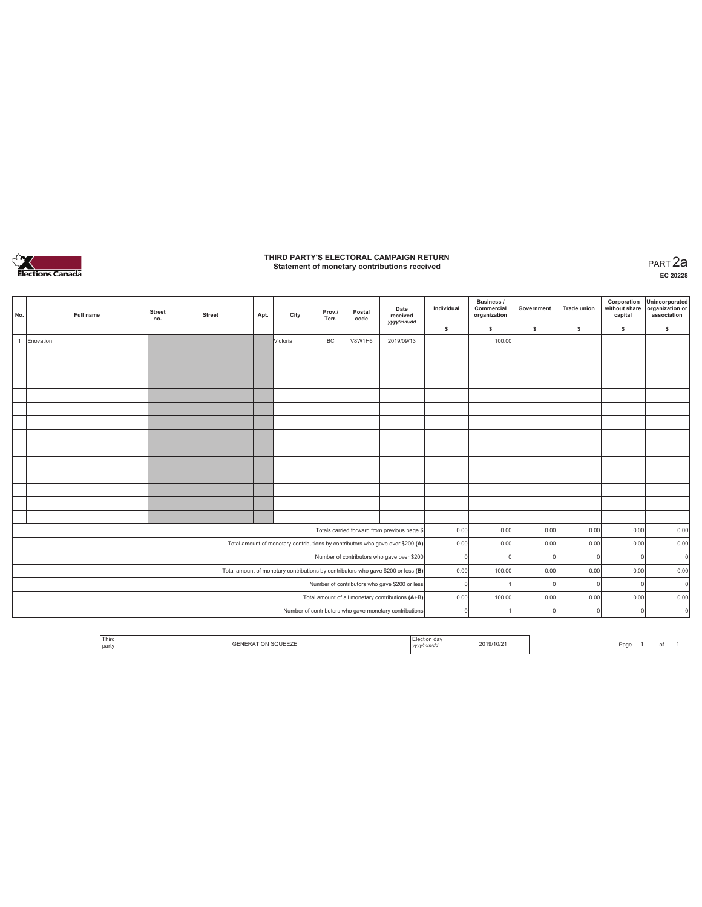

# **THIRD PARTY'S ELECTORAL CAMPAIGN RETURN Statement of monetary contributions received** PART 2a

| No. | Full name | <b>Street</b><br>no. | <b>Street</b> | Apt. | City                                                                              | Prov./<br>Terr. | Postal<br>code | Date<br>received<br>yyyy/mm/dd                         | Individual | Business /<br>Commercial<br>organization | Government | <b>Trade union</b> | Corporation<br>without share<br>capital | Unincorporated<br>organization or<br>association |
|-----|-----------|----------------------|---------------|------|-----------------------------------------------------------------------------------|-----------------|----------------|--------------------------------------------------------|------------|------------------------------------------|------------|--------------------|-----------------------------------------|--------------------------------------------------|
|     |           |                      |               |      |                                                                                   |                 |                |                                                        | \$         | \$                                       | \$         | s                  | \$                                      | \$                                               |
|     | Enovation |                      |               |      | Victoria                                                                          | BC              | <b>V8W1H6</b>  | 2019/09/13                                             |            | 100.00                                   |            |                    |                                         |                                                  |
|     |           |                      |               |      |                                                                                   |                 |                |                                                        |            |                                          |            |                    |                                         |                                                  |
|     |           |                      |               |      |                                                                                   |                 |                |                                                        |            |                                          |            |                    |                                         |                                                  |
|     |           |                      |               |      |                                                                                   |                 |                |                                                        |            |                                          |            |                    |                                         |                                                  |
|     |           |                      |               |      |                                                                                   |                 |                |                                                        |            |                                          |            |                    |                                         |                                                  |
|     |           |                      |               |      |                                                                                   |                 |                |                                                        |            |                                          |            |                    |                                         |                                                  |
|     |           |                      |               |      |                                                                                   |                 |                |                                                        |            |                                          |            |                    |                                         |                                                  |
|     |           |                      |               |      |                                                                                   |                 |                |                                                        |            |                                          |            |                    |                                         |                                                  |
|     |           |                      |               |      |                                                                                   |                 |                |                                                        |            |                                          |            |                    |                                         |                                                  |
|     |           |                      |               |      |                                                                                   |                 |                |                                                        |            |                                          |            |                    |                                         |                                                  |
|     |           |                      |               |      |                                                                                   |                 |                |                                                        |            |                                          |            |                    |                                         |                                                  |
|     |           |                      |               |      |                                                                                   |                 |                |                                                        |            |                                          |            |                    |                                         |                                                  |
|     |           |                      |               |      |                                                                                   |                 |                |                                                        |            |                                          |            |                    |                                         |                                                  |
|     |           |                      |               |      |                                                                                   |                 |                |                                                        |            |                                          |            |                    |                                         |                                                  |
|     |           |                      |               |      |                                                                                   |                 |                | Totals carried forward from previous page \$           | 0.00       | 0.00                                     | 0.00       | 0.00               | 0.00                                    | 0.00                                             |
|     |           |                      |               |      | Total amount of monetary contributions by contributors who gave over \$200 (A)    |                 |                |                                                        | 0.00       | 0.00                                     | 0.00       | 0.00               | 0.00                                    | 0.00                                             |
|     |           |                      |               |      |                                                                                   |                 |                | Number of contributors who gave over \$200             | $\Omega$   |                                          |            | C                  | $\Omega$                                | $\Omega$                                         |
|     |           |                      |               |      | Total amount of monetary contributions by contributors who gave \$200 or less (B) |                 |                |                                                        | 0.00       | 100.00                                   | 0.00       | 0.00               | 0.00                                    | 0.00                                             |
|     |           |                      |               |      |                                                                                   |                 |                | Number of contributors who gave \$200 or less          | $\Omega$   |                                          |            | r                  | $\Omega$                                | $\Omega$                                         |
|     |           |                      |               |      |                                                                                   |                 |                | Total amount of all monetary contributions (A+B)       | 0.00       | 100.00                                   | 0.00       | 0.00               | 0.00                                    | 0.00                                             |
|     |           |                      |               |      |                                                                                   |                 |                | Number of contributors who gave monetary contributions | $\Omega$   |                                          |            | C                  | $\Omega$                                | $\mathbf 0$                                      |

| Third<br>party | 2019/10/2<br>yyyynnnvaa | ∍-<br>agr) |
|----------------|-------------------------|------------|
|----------------|-------------------------|------------|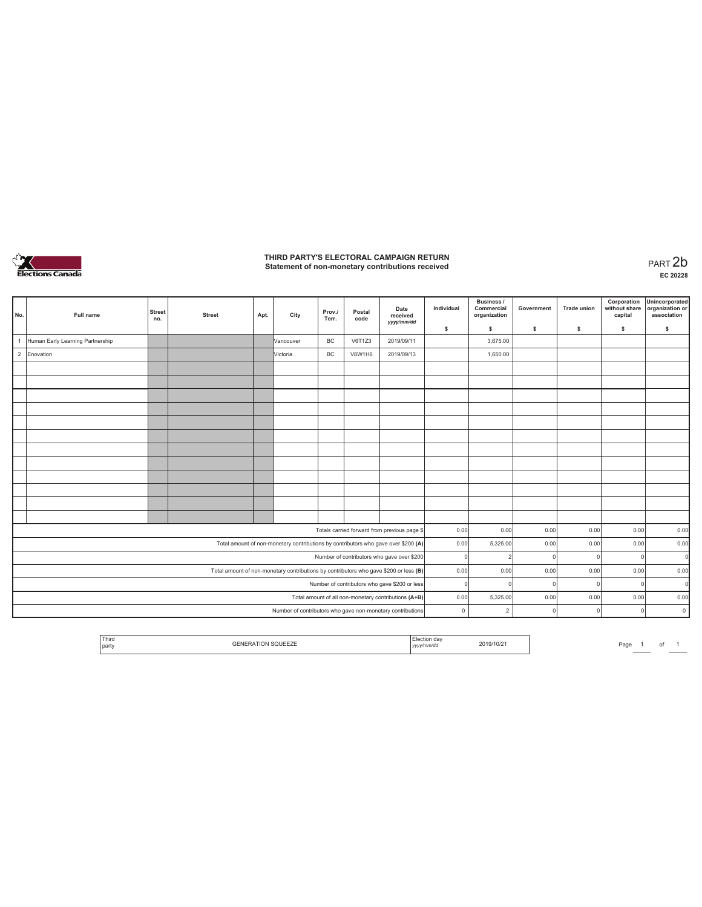

# **THIRD PARTY'S ELECTORAL CAMPAIGN RETURN Statement of non-monetary contributions received** PART 2b

| No.            | Full name                        | <b>Street</b><br>no. | <b>Street</b> | Apt. | City                                                                                  | Prov./<br>Terr. | Postal<br>code | Date<br>received<br>yyyy/mm/dd                       | Individual | Business /<br>Commercial<br>organization | Government   | Trade union   | Corporation<br>without share<br>capital | Unincorporated<br>organization or<br>association |
|----------------|----------------------------------|----------------------|---------------|------|---------------------------------------------------------------------------------------|-----------------|----------------|------------------------------------------------------|------------|------------------------------------------|--------------|---------------|-----------------------------------------|--------------------------------------------------|
|                |                                  |                      |               |      |                                                                                       |                 |                |                                                      | \$         | s                                        | $\mathsf{s}$ | s             | \$                                      | \$                                               |
| $\overline{1}$ | Human Early Learning Partnership |                      |               |      | Vancouver                                                                             | <b>BC</b>       | V6T1Z3         | 2019/09/11                                           |            | 3,675.00                                 |              |               |                                         |                                                  |
| $\overline{2}$ | Enovation                        |                      |               |      | Victoria                                                                              | BC              | V8W1H6         | 2019/09/13                                           |            | 1,650.00                                 |              |               |                                         |                                                  |
|                |                                  |                      |               |      |                                                                                       |                 |                |                                                      |            |                                          |              |               |                                         |                                                  |
|                |                                  |                      |               |      |                                                                                       |                 |                |                                                      |            |                                          |              |               |                                         |                                                  |
|                |                                  |                      |               |      |                                                                                       |                 |                |                                                      |            |                                          |              |               |                                         |                                                  |
|                |                                  |                      |               |      |                                                                                       |                 |                |                                                      |            |                                          |              |               |                                         |                                                  |
|                |                                  |                      |               |      |                                                                                       |                 |                |                                                      |            |                                          |              |               |                                         |                                                  |
|                |                                  |                      |               |      |                                                                                       |                 |                |                                                      |            |                                          |              |               |                                         |                                                  |
|                |                                  |                      |               |      |                                                                                       |                 |                |                                                      |            |                                          |              |               |                                         |                                                  |
|                |                                  |                      |               |      |                                                                                       |                 |                |                                                      |            |                                          |              |               |                                         |                                                  |
|                |                                  |                      |               |      |                                                                                       |                 |                |                                                      |            |                                          |              |               |                                         |                                                  |
|                |                                  |                      |               |      |                                                                                       |                 |                |                                                      |            |                                          |              |               |                                         |                                                  |
|                |                                  |                      |               |      |                                                                                       |                 |                |                                                      |            |                                          |              |               |                                         |                                                  |
|                |                                  |                      |               |      |                                                                                       |                 |                |                                                      |            |                                          |              |               |                                         |                                                  |
|                |                                  |                      |               |      |                                                                                       |                 |                | Totals carried forward from previous page \$         | 0.00       | 0.00                                     | 0.00         | 0.00          | 0.00                                    | 0.00                                             |
|                |                                  |                      |               |      | Total amount of non-monetary contributions by contributors who gave over \$200 (A)    |                 |                |                                                      | 0.00       | 5,325.00                                 | 0.00         | 0.00          | 0.00                                    | 0.00                                             |
|                |                                  |                      |               |      |                                                                                       |                 |                | Number of contributors who gave over \$200           | $\Omega$   |                                          |              | £             | $\circ$                                 | $\mathbf 0$                                      |
|                |                                  |                      |               |      | Total amount of non-monetary contributions by contributors who gave \$200 or less (B) |                 |                |                                                      | 0.00       | 0.00                                     | 0.00         | 0.00          | 0.00                                    | 0.00                                             |
|                |                                  |                      |               |      |                                                                                       |                 |                | Number of contributors who gave \$200 or less        | $\Omega$   |                                          |              | $\mathcal{L}$ | $\circ$                                 | $\mathbf 0$                                      |
|                |                                  |                      |               |      |                                                                                       |                 |                | Total amount of all non-monetary contributions (A+B) | 0.00       | 5,325.00                                 | 0.00         | 0.00          | 0.00                                    | 0.00                                             |
|                |                                  |                      |               |      | Number of contributors who gave non-monetary contributions                            |                 |                |                                                      | $\circ$    | $\overline{2}$                           |              |               | $\Omega$                                | $\circ$                                          |

| Third<br>and the state of the state of<br>the contract of the contract of<br>party | $-1$<br>. <u>.</u> . | . <i>.</i> . | 2019/10/21 | Page | ______ |  |
|------------------------------------------------------------------------------------|----------------------|--------------|------------|------|--------|--|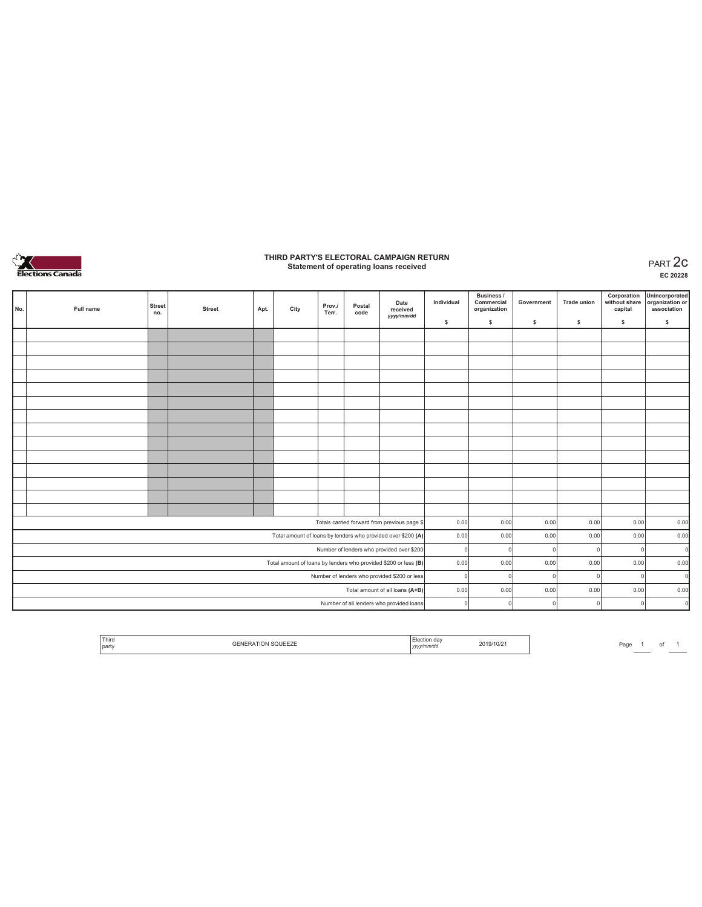

# **THIRD PARTY'S ELECTORAL CAMPAIGN RETURN Statement of operating loans received** PART 2c

**EC 20228**

| No. | Full name | <b>Street</b><br>no. | <b>Street</b> | Apt. | City | Prov./<br>Terr. | Postal<br>code | Date<br>received<br>yyyy/mm/dd                                  | Individual | Business /<br>Commercial<br>organization | Government | <b>Trade union</b> | Corporation<br>without share<br>capital | Unincorporated<br>organization or<br>association |
|-----|-----------|----------------------|---------------|------|------|-----------------|----------------|-----------------------------------------------------------------|------------|------------------------------------------|------------|--------------------|-----------------------------------------|--------------------------------------------------|
|     |           |                      |               |      |      |                 |                |                                                                 | \$         | \$                                       | s          | s                  | \$                                      | $\mathbb S$                                      |
|     |           |                      |               |      |      |                 |                |                                                                 |            |                                          |            |                    |                                         |                                                  |
|     |           |                      |               |      |      |                 |                |                                                                 |            |                                          |            |                    |                                         |                                                  |
|     |           |                      |               |      |      |                 |                |                                                                 |            |                                          |            |                    |                                         |                                                  |
|     |           |                      |               |      |      |                 |                |                                                                 |            |                                          |            |                    |                                         |                                                  |
|     |           |                      |               |      |      |                 |                |                                                                 |            |                                          |            |                    |                                         |                                                  |
|     |           |                      |               |      |      |                 |                |                                                                 |            |                                          |            |                    |                                         |                                                  |
|     |           |                      |               |      |      |                 |                |                                                                 |            |                                          |            |                    |                                         |                                                  |
|     |           |                      |               |      |      |                 |                |                                                                 |            |                                          |            |                    |                                         |                                                  |
|     |           |                      |               |      |      |                 |                |                                                                 |            |                                          |            |                    |                                         |                                                  |
|     |           |                      |               |      |      |                 |                |                                                                 |            |                                          |            |                    |                                         |                                                  |
|     |           |                      |               |      |      |                 |                |                                                                 |            |                                          |            |                    |                                         |                                                  |
|     |           |                      |               |      |      |                 |                |                                                                 |            |                                          |            |                    |                                         |                                                  |
|     |           |                      |               |      |      |                 |                |                                                                 |            |                                          |            |                    |                                         |                                                  |
|     |           |                      |               |      |      |                 |                |                                                                 |            |                                          |            |                    |                                         |                                                  |
|     |           |                      |               |      |      |                 |                | Totals carried forward from previous page \$                    | 0.00       | 0.00                                     | 0.00       | 0.00               | 0.00                                    | 0.00                                             |
|     |           |                      |               |      |      |                 |                | Total amount of loans by lenders who provided over \$200 (A)    | 0.00       | 0.00                                     | 0.00       | 0.00               | 0.00                                    | 0.00                                             |
|     |           |                      |               |      |      |                 |                | Number of lenders who provided over \$200                       | $\Omega$   | $\Omega$                                 |            | $\Omega$           | 0                                       | $\Omega$                                         |
|     |           |                      |               |      |      |                 |                | Total amount of loans by lenders who provided \$200 or less (B) | 0.00       | 0.00                                     | 0.00       | 0.00               | 0.00                                    | 0.00                                             |
|     |           |                      |               |      |      |                 |                | Number of lenders who provided \$200 or less                    | $\Omega$   | $\Omega$                                 |            |                    | $\Omega$                                | $\Omega$                                         |
|     |           |                      |               |      |      |                 |                | Total amount of all loans (A+B)                                 | 0.00       | 0.00                                     | 0.00       | 0.00               | 0.00                                    | 0.00                                             |
|     |           |                      |               |      |      |                 |                | Number of all lenders who provided loans                        | $\Omega$   | 0                                        |            |                    | $\circ$                                 | $\Omega$                                         |

Page  $1$  of  $1$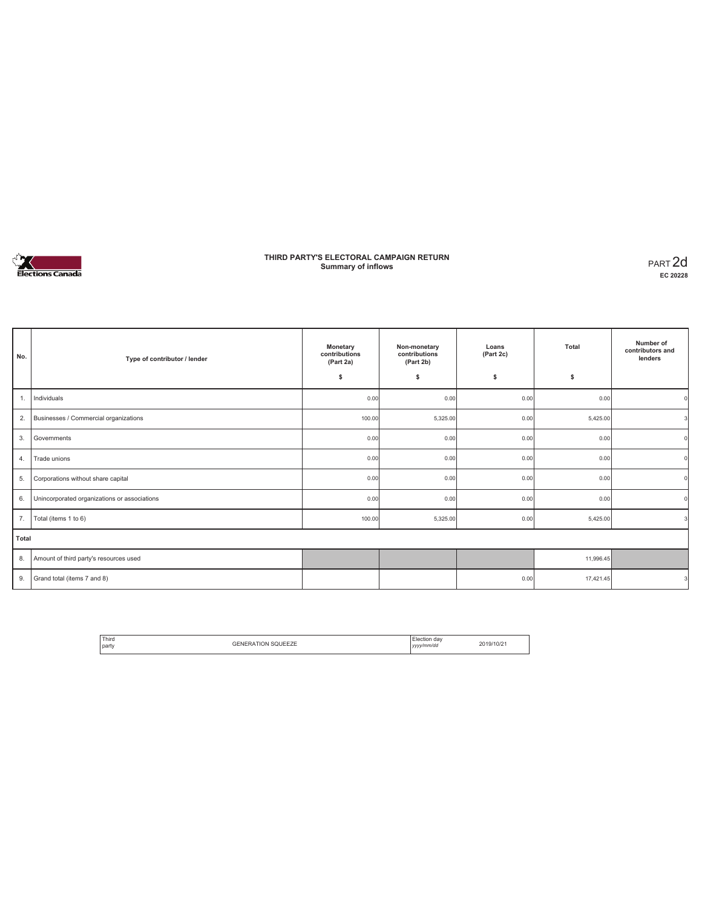

### **THIRD PARTY'S ELECTORAL CAMPAIGN RETURN Summary of inflows** PART 2d

| No.   | Type of contributor / lender                 | Monetary<br>contributions<br>(Part 2a) | Non-monetary<br>contributions<br>(Part 2b) | Loans<br>(Part 2c) | Total     | Number of<br>contributors and<br>lenders |
|-------|----------------------------------------------|----------------------------------------|--------------------------------------------|--------------------|-----------|------------------------------------------|
|       |                                              | \$                                     | s                                          | \$                 | \$        |                                          |
| 1.    | Individuals                                  | 0.00                                   | 0.00                                       | 0.00               | 0.00      |                                          |
| 2.    | Businesses / Commercial organizations        | 100.00                                 | 5,325.00                                   | 0.00               | 5,425.00  |                                          |
| 3.    | Governments                                  | 0.00                                   | 0.00                                       | 0.00               | 0.00      |                                          |
| 4.    | Trade unions                                 | 0.00                                   | 0.00                                       | 0.00               | 0.00      |                                          |
| 5.    | Corporations without share capital           | 0.00                                   | 0.00                                       | 0.00               | 0.00      |                                          |
| 6.    | Unincorporated organizations or associations | 0.00                                   | 0.00                                       | 0.00               | 0.00      |                                          |
| 7.    | Total (items 1 to 6)                         | 100.00                                 | 5,325.00                                   | 0.00               | 5,425.00  |                                          |
| Total |                                              |                                        |                                            |                    |           |                                          |
| 8.    | Amount of third party's resources used       |                                        |                                            |                    | 11,996.45 |                                          |
| 9.    | Grand total (items 7 and 8)                  |                                        |                                            | 0.00               | 17,421.45 | з                                        |

| <sup>1</sup> Third<br>. | <b>GENERATION SQUEEZE</b> | Election dav | 2019/10/21 |
|-------------------------|---------------------------|--------------|------------|
| party                   |                           | yyyy/mm/dd   |            |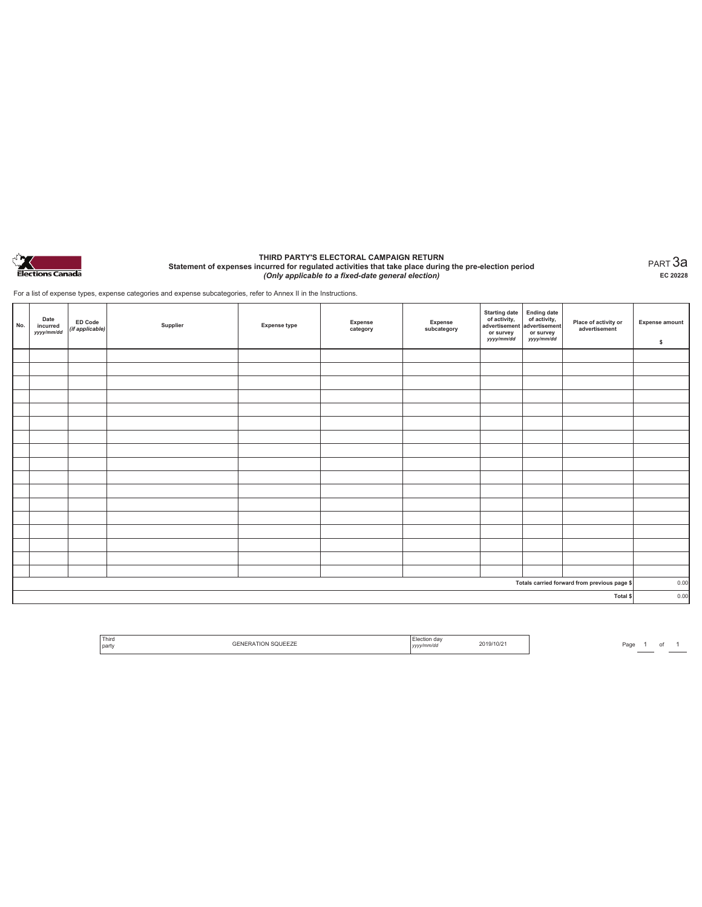

#### **THIRD PARTY'S ELECTORAL CAMPAIGN RETURN Statement of expenses incurred for regulated activities that take place during the pre-election period**  *(Only applicable to a fixed-date general election)*

PART 3a **EC 20228**

For a list of expense types, expense categories and expense subcategories, refer to Annex II in the Instructions.

| No.      | Date<br>incurred<br>yyyy/mm/dd | ED Code<br>(if applicable) | Supplier | <b>Expense type</b> | <b>Expense</b><br>category | Expense<br>subcategory | Starting date<br>of activity,<br>advertisement<br>or survey<br>yyyy/mm/dd | Ending date<br>of activity,<br>advertisement<br>or survey<br>yyyy/mm/dd | Place of activity or<br>advertisement        | <b>Expense amount</b><br>\$ |
|----------|--------------------------------|----------------------------|----------|---------------------|----------------------------|------------------------|---------------------------------------------------------------------------|-------------------------------------------------------------------------|----------------------------------------------|-----------------------------|
|          |                                |                            |          |                     |                            |                        |                                                                           |                                                                         |                                              |                             |
|          |                                |                            |          |                     |                            |                        |                                                                           |                                                                         |                                              |                             |
|          |                                |                            |          |                     |                            |                        |                                                                           |                                                                         |                                              |                             |
|          |                                |                            |          |                     |                            |                        |                                                                           |                                                                         |                                              |                             |
|          |                                |                            |          |                     |                            |                        |                                                                           |                                                                         |                                              |                             |
|          |                                |                            |          |                     |                            |                        |                                                                           |                                                                         |                                              |                             |
|          |                                |                            |          |                     |                            |                        |                                                                           |                                                                         |                                              |                             |
|          |                                |                            |          |                     |                            |                        |                                                                           |                                                                         |                                              |                             |
|          |                                |                            |          |                     |                            |                        |                                                                           |                                                                         |                                              |                             |
|          |                                |                            |          |                     |                            |                        |                                                                           |                                                                         |                                              |                             |
|          |                                |                            |          |                     |                            |                        |                                                                           |                                                                         |                                              |                             |
|          |                                |                            |          |                     |                            |                        |                                                                           |                                                                         |                                              |                             |
|          |                                |                            |          |                     |                            |                        |                                                                           |                                                                         |                                              |                             |
|          |                                |                            |          |                     |                            |                        |                                                                           |                                                                         |                                              |                             |
|          |                                |                            |          |                     |                            |                        |                                                                           |                                                                         |                                              |                             |
|          |                                |                            |          |                     |                            |                        |                                                                           |                                                                         |                                              |                             |
|          |                                |                            |          |                     |                            |                        |                                                                           |                                                                         |                                              |                             |
|          |                                |                            |          |                     |                            |                        |                                                                           |                                                                         | Totals carried forward from previous page \$ | 0.00                        |
| Total \$ |                                |                            |          |                     |                            |                        |                                                                           |                                                                         | 0.00                                         |                             |

| ' Third<br>party | $111 -$<br>$-111$<br>しடட∠ட | ı dav<br>v/mm/do<br>,,,, | 2019/10/2<br>-- . - - . - . |
|------------------|----------------------------|--------------------------|-----------------------------|
|                  |                            |                          |                             |

Page  $1$  of  $1$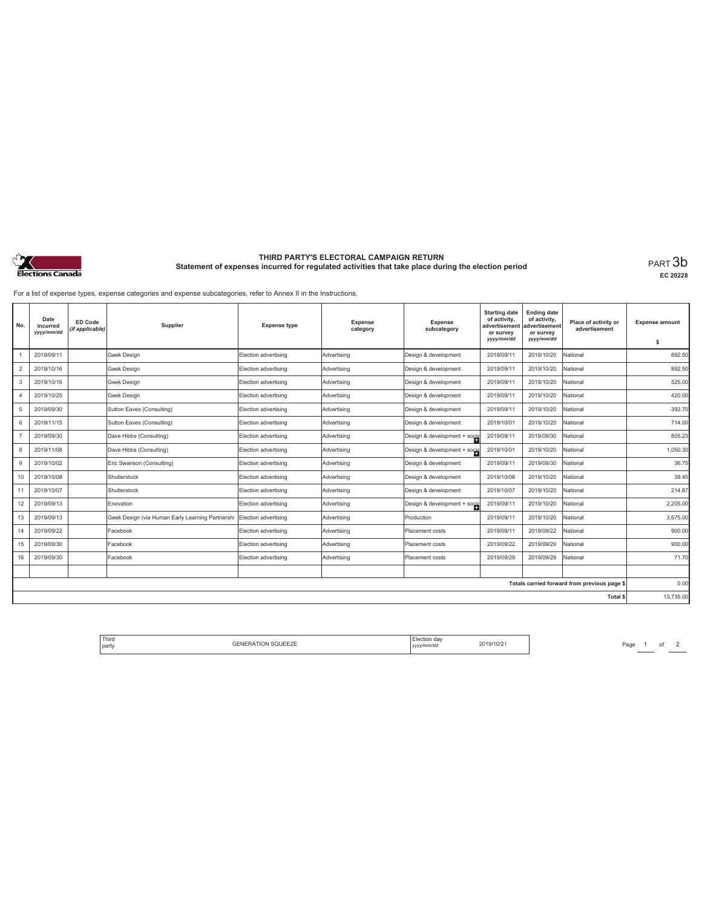

# **THIRD PARTY'S ELECTORAL CAMPAIGN RETURN Statement of expenses incurred for regulated activities that take place during the election period** PART 3b

**EC 20228**

For a list of expense types, expense categories and expense subcategories, refer to Annex II in the Instructions.

| No.            | Date<br>incurred<br>yyyy/mm/dd | <b>ED Code</b><br>(if applicable) | Supplier                                         | <b>Expense type</b>  | Expense<br>category | Expense<br>subcategory       | <b>Starting date</b><br>of activity,<br>advertisemen<br>or survey<br>yyyy/mm/dd | <b>Ending date</b><br>of activity,<br>advertisement<br>or survey<br>yyyy/mm/dd | Place of activity or<br>advertisement        | <b>Expense amount</b><br>\$ |
|----------------|--------------------------------|-----------------------------------|--------------------------------------------------|----------------------|---------------------|------------------------------|---------------------------------------------------------------------------------|--------------------------------------------------------------------------------|----------------------------------------------|-----------------------------|
|                | 2019/09/11                     |                                   | Geek Design                                      | Election advertising | Advertising         | Design & development         | 2019/09/11                                                                      | 2019/10/20                                                                     | National                                     | 892.50                      |
| $\overline{c}$ | 2019/10/16                     |                                   | Geek Design                                      | Election advertising | Advertising         | Design & development         | 2019/09/11                                                                      | 2019/10/20                                                                     | National                                     | 892.50                      |
| 3              | 2019/10/16                     |                                   | Geek Design                                      | Election advertising | Advertising         | Design & development         | 2019/09/11                                                                      | 2019/10/20                                                                     | National                                     | 525.00                      |
| $\overline{4}$ | 2019/10/25                     |                                   | Geek Design                                      | Election advertising | Advertising         | Design & development         | 2019/09/11                                                                      | 2019/10/20                                                                     | National                                     | 420.00                      |
| 5              | 2019/09/30                     |                                   | Sutton Eaves (Consulting)                        | Election advertising | Advertising         | Design & development         | 2019/09/11                                                                      | 2019/10/20                                                                     | National                                     | 392.70                      |
| 6              | 2019/11/15                     |                                   | Sutton Eaves (Consulting)                        | Election advertising | Advertising         | Design & development         | 2019/10/01                                                                      | 2019/10/20                                                                     | National                                     | 714.00                      |
|                | 2019/09/30                     |                                   | Dave Hibbs (Consulting)                          | Election advertising | Advertising         | Design & development + socia | 2019/09/11                                                                      | 2019/09/30                                                                     | National                                     | 805.23                      |
| 8              | 2019/11/08                     |                                   | Dave Hibbs (Consulting)                          | Election advertising | Advertising         | Design & development + socia | 2019/10/01                                                                      | 2019/10/20                                                                     | National                                     | 1,050.30                    |
| 9              | 2019/10/02                     |                                   | Eric Swanson (Consulting)                        | Election advertising | Advertising         | Design & development         | 2019/09/11                                                                      | 2019/09/30                                                                     | National                                     | 36.75                       |
| 10             | 2019/10/08                     |                                   | Shutlerstock                                     | Election advertising | Advertising         | Design & development         | 2019/10/08                                                                      | 2019/10/20                                                                     | National                                     | 39.45                       |
| 11             | 2019/10/07                     |                                   | Shutlerstock                                     | Election advertising | Advertising         | Design & development         | 2019/10/07                                                                      | 2019/10/20                                                                     | National                                     | 214.87                      |
| 12             | 2019/09/13                     |                                   | Enovation                                        | Election advertising | Advertising         | Design & development + socia | 2019/09/11                                                                      | 2019/10/20                                                                     | National                                     | 2,205.00                    |
| 13             | 2019/09/13                     |                                   | Geek Design (via Human Early Learning Partnershi | Election advertising | Advertising         | Production                   | 2019/09/11                                                                      | 2019/10/20                                                                     | National                                     | 3,675.00                    |
| 14             | 2019/09/22                     |                                   | Facebook                                         | Election advertising | Advertising         | Placement costs              | 2019/09/11                                                                      | 2019/09/22                                                                     | National                                     | 900.00                      |
| 15             | 2019/09/30                     |                                   | Facebook                                         | Election advertising | Advertising         | Placement costs              | 2019/09/22                                                                      | 2019/09/29                                                                     | National                                     | 900.00                      |
| 16             | 2019/09/30                     |                                   | Facebook                                         | Election advertising | Advertising         | Placement costs              | 2019/09/29                                                                      | 2019/09/29                                                                     | National                                     | 71.70                       |
|                |                                |                                   |                                                  |                      |                     |                              |                                                                                 |                                                                                |                                              |                             |
|                |                                |                                   |                                                  |                      |                     |                              |                                                                                 |                                                                                | Totals carried forward from previous page \$ | 0.00                        |
|                |                                |                                   |                                                  |                      |                     |                              |                                                                                 |                                                                                | Total \$                                     | 13,735.00                   |

| <sup>1</sup> Third<br><b>GENERATION SQUEEZE</b><br>l party | lection dav:<br>.<br>vyy/mm/dd<br>,,,, | 2019/10/21 |
|------------------------------------------------------------|----------------------------------------|------------|
|------------------------------------------------------------|----------------------------------------|------------|

Page  $1$  of  $2$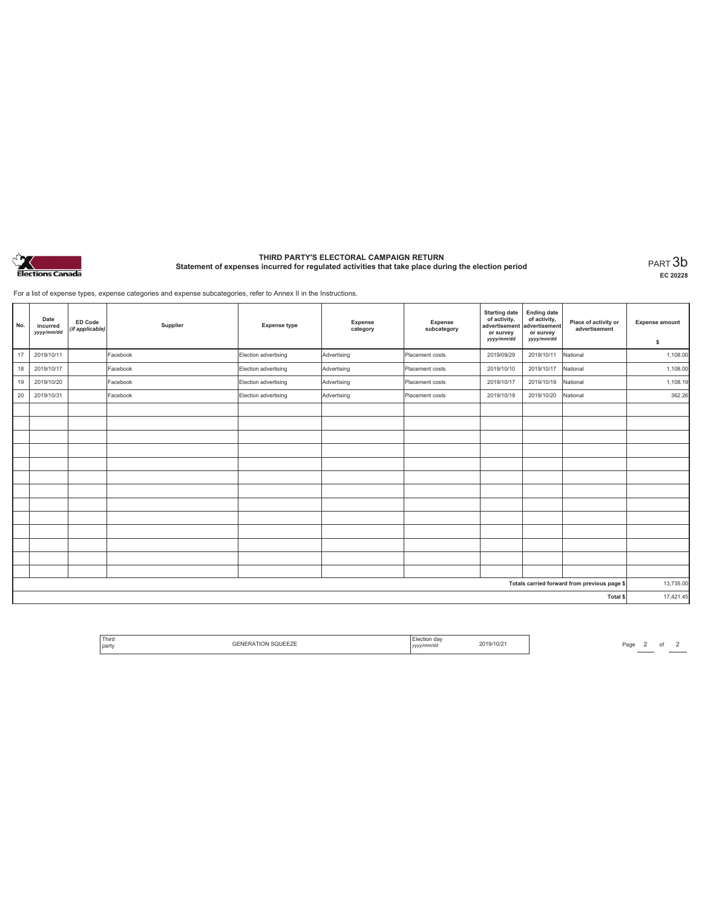

# **THIRD PARTY'S ELECTORAL CAMPAIGN RETURN Statement of expenses incurred for regulated activities that take place during the election period** PART 3b

**EC 20228**

For a list of expense types, expense categories and expense subcategories, refer to Annex II in the Instructions.

| No. | Date<br>incurred<br>yyyy/mm/dd | <b>ED Code</b><br>(if applicable) | Supplier | <b>Expense type</b>  | Expense<br>category | <b>Expense</b><br>subcategory | <b>Starting date</b><br>of activity,<br>advertisement<br>or survey<br>yyyy/mm/dd | <b>Ending date</b><br>of activity,<br>advertisement<br>or survey<br>yyyy/mm/dd | Place of activity or<br>advertisement        | <b>Expense amount</b><br>\$ |
|-----|--------------------------------|-----------------------------------|----------|----------------------|---------------------|-------------------------------|----------------------------------------------------------------------------------|--------------------------------------------------------------------------------|----------------------------------------------|-----------------------------|
| 17  | 2019/10/11                     |                                   | Facebook | Election advertising | Advertising         | Placement costs               | 2019/09/29                                                                       | 2019/10/11                                                                     | National                                     | 1,108.00                    |
| 18  | 2019/10/17                     |                                   | Facebook | Election advertising | Advertising         | Placement costs               | 2019/10/10                                                                       | 2019/10/17                                                                     | National                                     | 1,108.00                    |
| 19  | 2019/10/20                     |                                   | Facebook | Election advertising | Advertising         | Placement costs               | 2019/10/17                                                                       | 2019/10/19                                                                     | National                                     | 1,108.19                    |
| 20  | 2019/10/31                     |                                   | Facebook | Election advertising | Advertising         | Placement costs               | 2019/10/19                                                                       | 2019/10/20                                                                     | National                                     | 362.26                      |
|     |                                |                                   |          |                      |                     |                               |                                                                                  |                                                                                |                                              |                             |
|     |                                |                                   |          |                      |                     |                               |                                                                                  |                                                                                |                                              |                             |
|     |                                |                                   |          |                      |                     |                               |                                                                                  |                                                                                |                                              |                             |
|     |                                |                                   |          |                      |                     |                               |                                                                                  |                                                                                |                                              |                             |
|     |                                |                                   |          |                      |                     |                               |                                                                                  |                                                                                |                                              |                             |
|     |                                |                                   |          |                      |                     |                               |                                                                                  |                                                                                |                                              |                             |
|     |                                |                                   |          |                      |                     |                               |                                                                                  |                                                                                |                                              |                             |
|     |                                |                                   |          |                      |                     |                               |                                                                                  |                                                                                |                                              |                             |
|     |                                |                                   |          |                      |                     |                               |                                                                                  |                                                                                |                                              |                             |
|     |                                |                                   |          |                      |                     |                               |                                                                                  |                                                                                |                                              |                             |
|     |                                |                                   |          |                      |                     |                               |                                                                                  |                                                                                |                                              |                             |
|     |                                |                                   |          |                      |                     |                               |                                                                                  |                                                                                |                                              |                             |
|     |                                |                                   |          |                      |                     |                               |                                                                                  |                                                                                |                                              |                             |
|     |                                |                                   |          |                      |                     |                               |                                                                                  |                                                                                | Totals carried forward from previous page \$ | 13,735.00                   |
|     |                                |                                   |          |                      |                     |                               |                                                                                  |                                                                                | Total \$                                     | 17,421.45                   |

| <sup>1</sup> Third<br>party | da<br>.<br>v/mm/d | 2019/10/2 |
|-----------------------------|-------------------|-----------|
|-----------------------------|-------------------|-----------|

 $\begin{array}{|c|c|c|c|}\hline \text{Page} & 2 & \text{of} & 2 \\\hline \hline \end{array}$